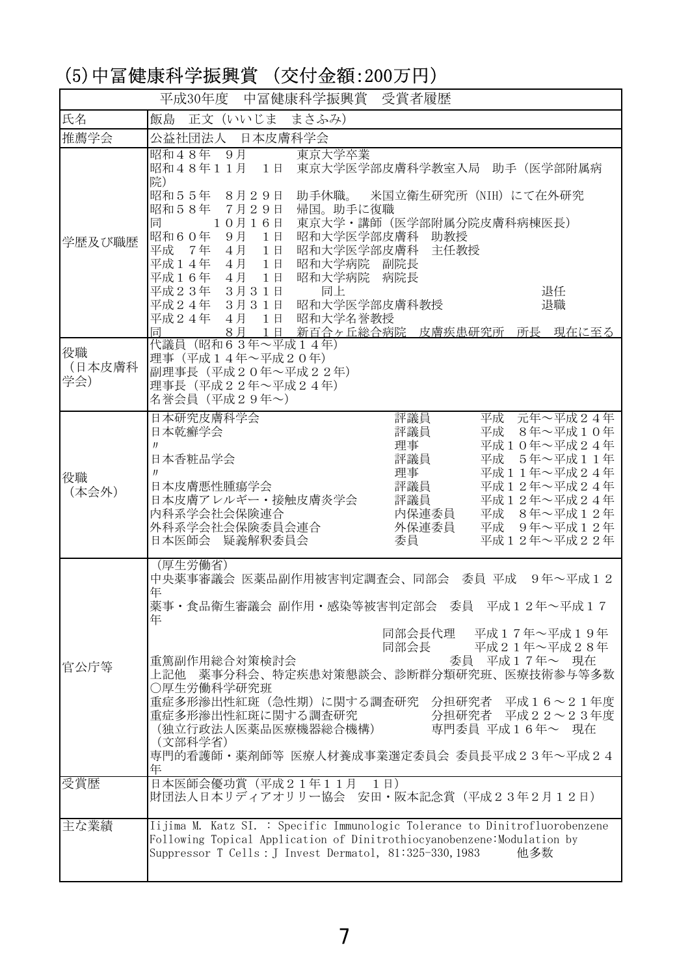## (5)中冨健康科学振興賞 (交付金額:200万円)

|                     | 平成30年度 中冨健康科学振興賞 受賞者履歴                                                                                                                                                                                                                                                                                                                                                                                                                               |
|---------------------|------------------------------------------------------------------------------------------------------------------------------------------------------------------------------------------------------------------------------------------------------------------------------------------------------------------------------------------------------------------------------------------------------------------------------------------------------|
| 氏名                  | 飯島 正文 (いいじま まさふみ)                                                                                                                                                                                                                                                                                                                                                                                                                                    |
| 推薦学会                | 公益社団法人 日本皮膚科学会                                                                                                                                                                                                                                                                                                                                                                                                                                       |
| 学歴及び職歴              | 昭和48年 9月<br>東京大学卒業<br>昭和48年11月 1日 東京大学医学部皮膚科学教室入局 助手 (医学部附属病<br>院)<br>昭和55年 8月29日<br>助手休職。 米国立衛生研究所 (NIH) にて在外研究<br>昭和58年 7月29日<br>帰国。助手に復職<br>東京大学・講師 (医学部附属分院皮膚科病棟医長)<br>同<br>$10416$ 日<br>昭和60年 9月 1日<br>昭和大学医学部皮膚科 助教授<br>平成 7年 4月 1日<br>昭和大学医学部皮膚科 主任教授<br>4月 1日 昭和大学病院 副院長<br>平成14年<br>平成16年 4月 1日<br>昭和大学病院 病院長<br>平成23年 3月31日<br>同上<br>退任<br>平成24年 3月31日 昭和大学医学部皮膚科教授<br>退職<br>平成24年 4月 1日 昭和大学名誉教授<br>8月 1日 新百合ヶ丘総合病院 皮膚疾患研究所 所長 現在に至る<br>同 |
| 役職<br>(日本皮膚科<br>学会) | 代議員 (昭和63年~平成14年)<br>理事 (平成14年~平成20年)<br>副理事長 (平成20年~平成22年)<br>理事長 (平成22年~平成24年)<br>名誉会員 (平成29年~)                                                                                                                                                                                                                                                                                                                                                    |
| 役職<br>(本会外)         | 日本研究皮膚科学会<br>評議員<br>平成 元年~平成24年<br>評議員<br>平成 8年~平成10年<br>日本乾癬学会<br>理事<br>平成10年~平成24年<br>$_{II}$<br>評議員<br>日本香粧品学会<br>平成<br>5年~平成11年<br>理事<br>平成11年~平成24年<br>$_{II}$<br>日本皮膚悪性腫瘍学会<br>評議員<br>平成12年~平成24年<br>日本皮膚アレルギー・接触皮膚炎学会<br>平成12年~平成24年<br>評議員<br>内保連委員<br>内科系学会社会保険連合<br>平成 8年~平成12年<br>外科系学会社会保険委員会連合<br>平成 9年~平成12年<br>外保連委員<br>日本医師会 疑義解釈委員会<br>平成12年~平成22年<br>委員                                                                            |
| 官公庁等                | (厚生労働省)<br>中央薬事審議会 医薬品副作用被害判定調査会、同部会 委員 平成 9年~平成12<br>年<br>英事・食品衛生審議会 副作用・感染等被害判定部会 委員 平成12年~平成17<br>年<br>同部会長代理 平成17年~平成19年<br>同部会長 平成21年~平成28年<br>委員 平成17年~ 現在<br>重篤副作用総合対策検討会<br>薬事分科会、特定疾患対策懇談会、診断群分類研究班、医療技術参与等多数<br>上記他<br>○厚生労働科学研究班<br>重症多形滲出性紅斑 (急性期) に関する調査研究 分担研究者 平成16~21年度<br>重症多形滲出性紅斑に関する調査研究<br>分担研究者 平成22~23年度<br>(独立行政法人医薬品医療機器総合機構)<br>専門委員 平成16年~ 現在<br>(文部科学省)<br>専門的看護師・薬剤師等 医療人材養成事業選定委員会 委員長平成23年~平成24<br>年                  |
| 受賞歴                 | 日本医師会優功賞 (平成21年11月 1日)<br>財団法人日本リディアオリリー協会 安田・阪本記念賞 (平成23年2月12日)                                                                                                                                                                                                                                                                                                                                                                                     |
| 主な業績                | Iijima M. Katz SI. : Specific Immunologic Tolerance to Dinitrofluorobenzene<br>Following Topical Application of Dinitrothiocyanobenzene: Modulation by<br>Suppressor T Cells : J Invest Dermatol, 81:325-330, 1983<br>他多数                                                                                                                                                                                                                            |